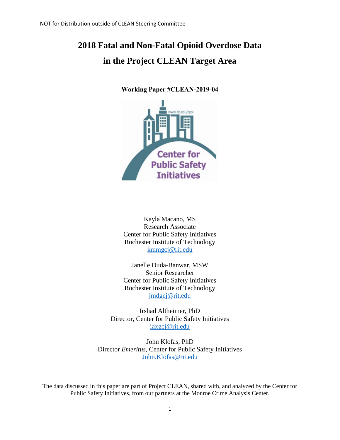# **2018 Fatal and Non-Fatal Opioid Overdose Data in the Project CLEAN Target Area**

**Working Paper #CLEAN-2019-04**



Kayla Macano, MS Research Associate Center for Public Safety Initiatives Rochester Institute of Technology [kmmgcj@rit.edu](mailto:kmmgcj@rit.edu)

Janelle Duda-Banwar, MSW Senior Researcher Center for Public Safety Initiatives Rochester Institute of Technology [jmdgcj@rit.edu](mailto:jmdgcj@rit.edu)

Irshad Altheimer, PhD Director, Center for Public Safety Initiatives [iaxgcj@rit.edu](mailto:iaxgcj@rit.edu)

John Klofas, PhD Director *Emeritus*, Center for Public Safety Initiatives [John.Klofas@rit.edu](mailto:John.Klofas@rit.edu) 

The data discussed in this paper are part of Project CLEAN, shared with, and analyzed by the Center for Public Safety Initiatives, from our partners at the Monroe Crime Analysis Center.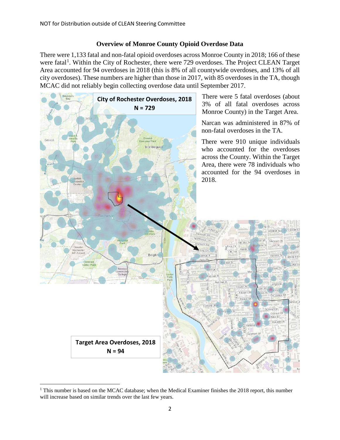### **Overview of Monroe County Opioid Overdose Data**

There were 1,133 fatal and non-fatal opioid overdoses across Monroe County in 2018; 166 of these were fatal<sup>[1](#page-1-0)</sup>. Within the City of Rochester, there were 729 overdoses. The Project CLEAN Target Area accounted for 94 overdoses in 2018 (this is 8% of all countywide overdoses, and 13% of all city overdoses). These numbers are higher than those in 2017, with 85 overdoses in the TA, though MCAC did not reliably begin collecting overdose data until September 2017.



<span id="page-1-0"></span>l <sup>1</sup> This number is based on the MCAC database; when the Medical Examiner finishes the 2018 report, this number will increase based on similar trends over the last few years.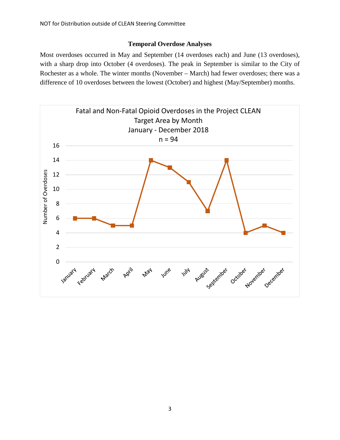### **Temporal Overdose Analyses**

Most overdoses occurred in May and September (14 overdoses each) and June (13 overdoses), with a sharp drop into October (4 overdoses). The peak in September is similar to the City of Rochester as a whole. The winter months (November – March) had fewer overdoses; there was a difference of 10 overdoses between the lowest (October) and highest (May/September) months.

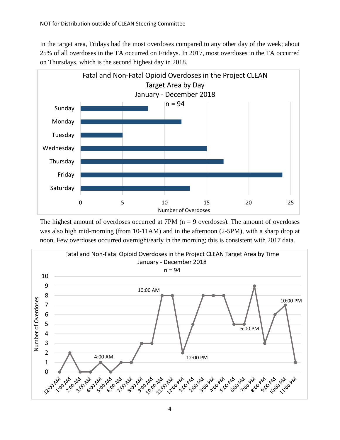In the target area, Fridays had the most overdoses compared to any other day of the week; about 25% of all overdoses in the TA occurred on Fridays. In 2017, most overdoses in the TA occurred on Thursdays, which is the second highest day in 2018.



The highest amount of overdoses occurred at  $7PM$  ( $n = 9$  overdoses). The amount of overdoses was also high mid-morning (from 10-11AM) and in the afternoon (2-5PM), with a sharp drop at noon. Few overdoses occurred overnight/early in the morning; this is consistent with 2017 data.

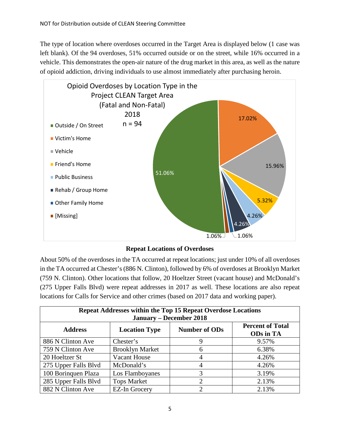The type of location where overdoses occurred in the Target Area is displayed below (1 case was left blank). Of the 94 overdoses, 51% occurred outside or on the street, while 16% occurred in a vehicle. This demonstrates the open-air nature of the drug market in this area, as well as the nature of opioid addiction, driving individuals to use almost immediately after purchasing heroin.



### **Repeat Locations of Overdoses**

About 50% of the overdoses in the TA occurred at repeat locations; just under 10% of all overdoses in the TA occurred at Chester's (886 N. Clinton), followed by 6% of overdoses at Brooklyn Market (759 N. Clinton). Other locations that follow, 20 Hoeltzer Street (vacant house) and McDonald's (275 Upper Falls Blvd) were repeat addresses in 2017 as well. These locations are also repeat locations for Calls for Service and other crimes (based on 2017 data and working paper).

| <b>Repeat Addresses within the Top 15 Repeat Overdose Locations</b><br><b>January – December 2018</b> |                        |                      |                                             |
|-------------------------------------------------------------------------------------------------------|------------------------|----------------------|---------------------------------------------|
| <b>Address</b>                                                                                        | <b>Location Type</b>   | <b>Number of ODs</b> | <b>Percent of Total</b><br><b>ODs</b> in TA |
| 886 N Clinton Ave                                                                                     | Chester's              | 9                    | 9.57%                                       |
| 759 N Clinton Ave                                                                                     | <b>Brooklyn Market</b> | 6                    | 6.38%                                       |
| 20 Hoeltzer St                                                                                        | <b>Vacant House</b>    | 4                    | 4.26%                                       |
| 275 Upper Falls Blvd                                                                                  | McDonald's             | $\overline{4}$       | 4.26%                                       |
| 100 Boringuen Plaza                                                                                   | Los Flamboyanes        | 3                    | 3.19%                                       |
| 285 Upper Falls Blvd                                                                                  | <b>Tops Market</b>     | $\overline{2}$       | 2.13%                                       |
| 882 N Clinton Ave                                                                                     | <b>EZ-In Grocery</b>   | ာ                    | 2.13%                                       |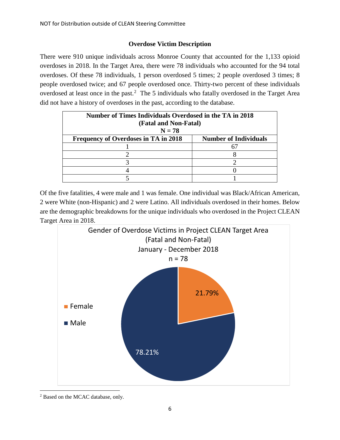## **Overdose Victim Description**

There were 910 unique individuals across Monroe County that accounted for the 1,133 opioid overdoses in 2018. In the Target Area, there were 78 individuals who accounted for the 94 total overdoses. Of these 78 individuals, 1 person overdosed 5 times; 2 people overdosed 3 times; 8 people overdosed twice; and 67 people overdosed once. Thirty-two percent of these individuals overdosed at least once in the past.<sup>[2](#page-5-0)</sup> The 5 individuals who fatally overdosed in the Target Area did not have a history of overdoses in the past, according to the database.

| Number of Times Individuals Overdosed in the TA in 2018<br>(Fatal and Non-Fatal)<br>$N = 78$ |                              |  |  |
|----------------------------------------------------------------------------------------------|------------------------------|--|--|
| <b>Frequency of Overdoses in TA in 2018</b>                                                  | <b>Number of Individuals</b> |  |  |
|                                                                                              |                              |  |  |
|                                                                                              |                              |  |  |
|                                                                                              |                              |  |  |
|                                                                                              |                              |  |  |
|                                                                                              |                              |  |  |

Of the five fatalities, 4 were male and 1 was female. One individual was Black/African American, 2 were White (non-Hispanic) and 2 were Latino. All individuals overdosed in their homes. Below are the demographic breakdowns for the unique individuals who overdosed in the Project CLEAN Target Area in 2018.



<span id="page-5-0"></span>l <sup>2</sup> Based on the MCAC database, only.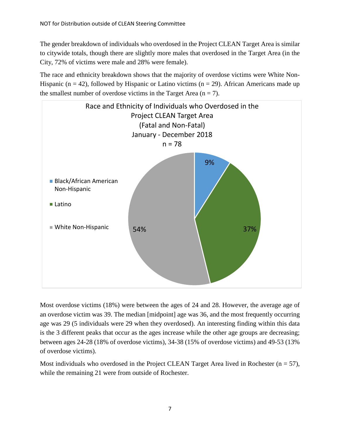The gender breakdown of individuals who overdosed in the Project CLEAN Target Area is similar to citywide totals, though there are slightly more males that overdosed in the Target Area (in the City, 72% of victims were male and 28% were female).

The race and ethnicity breakdown shows that the majority of overdose victims were White Non-Hispanic (n = 42), followed by Hispanic or Latino victims (n = 29). African Americans made up the smallest number of overdose victims in the Target Area  $(n = 7)$ .



Most overdose victims (18%) were between the ages of 24 and 28. However, the average age of an overdose victim was 39. The median [midpoint] age was 36, and the most frequently occurring age was 29 (5 individuals were 29 when they overdosed). An interesting finding within this data is the 3 different peaks that occur as the ages increase while the other age groups are decreasing; between ages 24-28 (18% of overdose victims), 34-38 (15% of overdose victims) and 49-53 (13% of overdose victims).

Most individuals who overdosed in the Project CLEAN Target Area lived in Rochester ( $n = 57$ ), while the remaining 21 were from outside of Rochester.